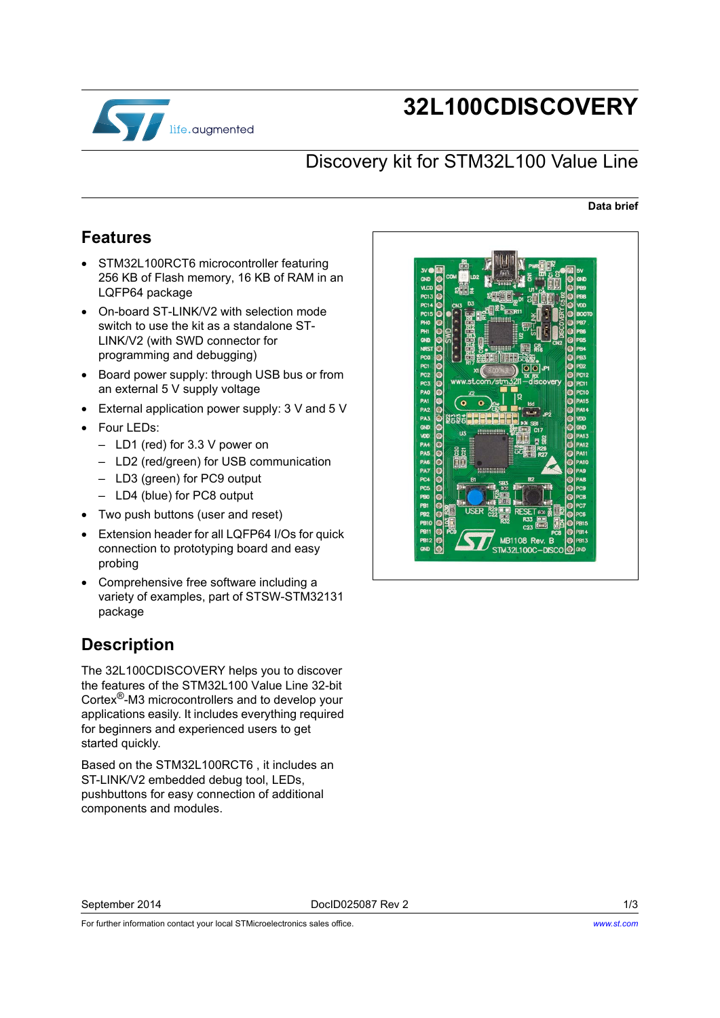

# **32L100CDISCOVERY**

### Discovery kit for STM32L100 Value Line

#### **Data brief**

#### <span id="page-0-1"></span>**Features**

- STM32L100RCT6 microcontroller featuring 256 KB of Flash memory, 16 KB of RAM in an LQFP64 package
- On-board ST-LINK/V2 with selection mode switch to use the kit as a standalone ST-LINK/V2 (with SWD connector for programming and debugging)
- Board power supply: through USB bus or from an external 5 V supply voltage
- External application power supply: 3 V and 5 V
- Four LEDs:
	- LD1 (red) for 3.3 V power on
	- LD2 (red/green) for USB communication
	- LD3 (green) for PC9 output
	- LD4 (blue) for PC8 output
- Two push buttons (user and reset)
- Extension header for all LQFP64 I/Os for quick connection to prototyping board and easy probing
- Comprehensive free software including a variety of examples, part of STSW-STM32131 package

## <span id="page-0-0"></span>**Description**

The 32L100CDISCOVERY helps you to discover the features of the STM32L100 Value Line 32-bit Cortex®-M3 microcontrollers and to develop your applications easily. It includes everything required for beginners and experienced users to get started quickly.

Based on the STM32L100RCT6 , it includes an ST-LINK/V2 embedded debug tool, LEDs, pushbuttons for easy connection of additional components and modules.



September 2014 DocID025087 Rev 2 1/3

For further information contact your local STMicroelectronics sales office.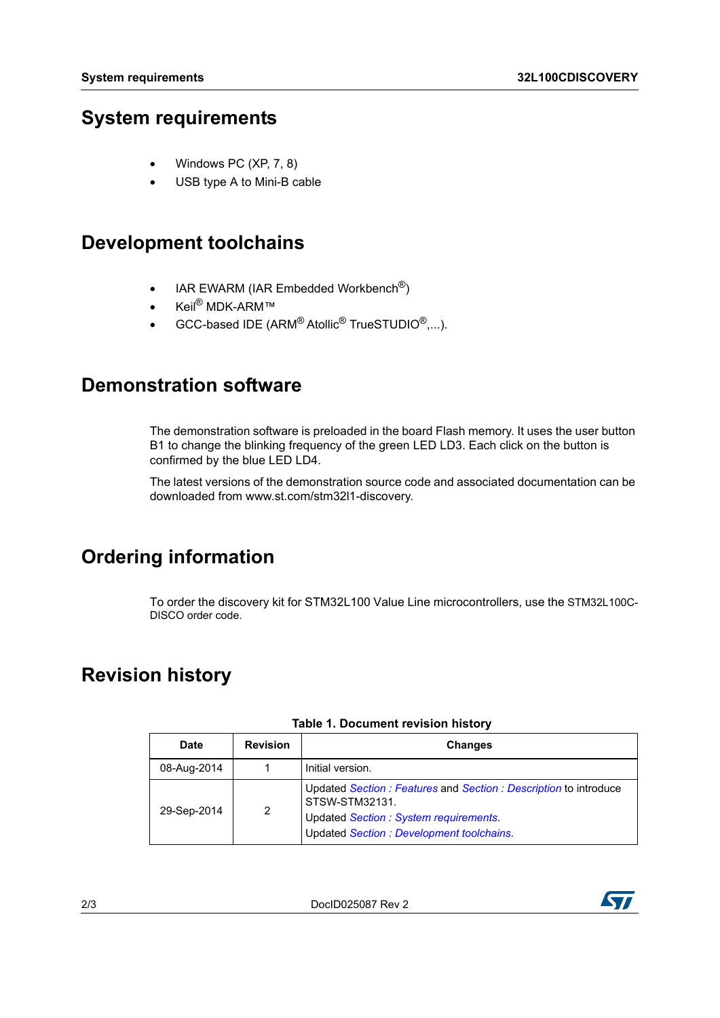### <span id="page-1-0"></span>**System requirements**

- Windows PC (XP, 7, 8)
- USB type A to Mini-B cable

### <span id="page-1-1"></span>**Development toolchains**

- IAR EWARM (IAR Embedded Workbench<sup>®</sup>)
- Keil® MDK-ARM™
- GCC-based IDE (ARM $^{\circledR}$  Atollic $^{\circledR}$  TrueSTUDIO $^{\circledR}, \ldots$ ).

#### **Demonstration software**

The demonstration software is preloaded in the board Flash memory. It uses the user button B1 to change the blinking frequency of the green LED LD3. Each click on the button is confirmed by the blue LED LD4.

[The latest versions of the demonstration source code and associated documentation can be](www.st.com/stm32f0discovery)  downloaded from www.st.com/stm32l1-discovery.

# **Ordering information**

To order the discovery kit for STM32L100 Value Line microcontrollers, use the STM32L100C-DISCO order code.

# **Revision history**

| <b>Date</b> | <b>Revision</b> | <b>Changes</b>                                                                                                                                                           |
|-------------|-----------------|--------------------------------------------------------------------------------------------------------------------------------------------------------------------------|
| 08-Aug-2014 |                 | Initial version.                                                                                                                                                         |
| 29-Sep-2014 | 2               | Updated Section: Features and Section: Description to introduce<br>STSW-STM32131.<br>Updated Section : System requirements.<br>Updated Section : Development toolchains. |

#### **Table 1. Document revision history**